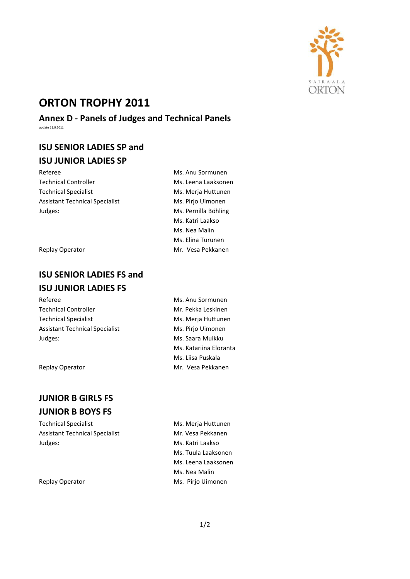

# **ORTON TROPHY 2011**

**Annex D - Panels of Judges and Technical Panels** update 11.9.2011

## **ISU SENIOR LADIES SP and ISU JUNIOR LADIES SP**

Technical Controller Ms. Leena Laaksonen Technical Specialist Ms. Merja Huttunen Assistant Technical Specialist Ms. Pirjo Uimonen Judges: Ms. Pernilla Böhling

## **ISU SENIOR LADIES FS and ISU JUNIOR LADIES FS**

Referee **Music Communist Except Contracts** Ms. Anu Sormunen Technical Controller Technical Specialist Assistant Technical Specialist Judges:

Replay Operator

## **JUNIOR B GIRLS FS JUNIOR B BOYS FS**

Technical Specialist Ms. Merja Huttunen Assistant Technical Specialist Mr. Vesa Pekkanen Judges: Ms. Katri Laakso

Referee Ms. Anu Sormunen Ms. Katri Laakso Ms. Nea Malin Ms. Elina Turunen Replay Operator Mr. Vesa Pekkanen

| Ms. Anu Sormunen       |
|------------------------|
| Mr. Pekka Leskinen     |
| Ms. Merja Huttunen     |
| Ms. Pirjo Uimonen      |
| Ms. Saara Muikku       |
| Ms. Katariina Eloranta |
| Ms. Liisa Puskala      |
| Mr. Vesa Pekkanen      |

Ms. Tuula Laaksonen Ms. Leena Laaksonen Ms. Nea Malin Replay Operator **Ms. Pirjo Uimonen**